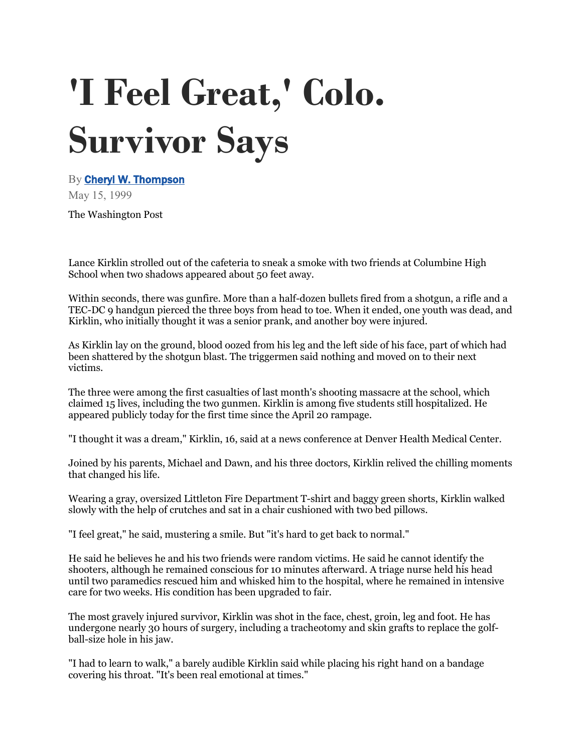## **'I Feel Great,' Colo. Survivor Says**

By **[Cheryl W. Thompson](https://www.washingtonpost.com/people/cheryl-w-thompson/)** May 15, 1999

The Washington Post

Lance Kirklin strolled out of the cafeteria to sneak a smoke with two friends at Columbine High School when two shadows appeared about 50 feet away.

Within seconds, there was gunfire. More than a half-dozen bullets fired from a shotgun, a rifle and a TEC-DC 9 handgun pierced the three boys from head to toe. When it ended, one youth was dead, and Kirklin, who initially thought it was a senior prank, and another boy were injured.

As Kirklin lay on the ground, blood oozed from his leg and the left side of his face, part of which had been shattered by the shotgun blast. The triggermen said nothing and moved on to their next victims.

The three were among the first casualties of last month's shooting massacre at the school, which claimed 15 lives, including the two gunmen. Kirklin is among five students still hospitalized. He appeared publicly today for the first time since the April 20 rampage.

"I thought it was a dream," Kirklin, 16, said at a news conference at Denver Health Medical Center.

Joined by his parents, Michael and Dawn, and his three doctors, Kirklin relived the chilling moments that changed his life.

Wearing a gray, oversized Littleton Fire Department T-shirt and baggy green shorts, Kirklin walked slowly with the help of crutches and sat in a chair cushioned with two bed pillows.

"I feel great," he said, mustering a smile. But "it's hard to get back to normal."

He said he believes he and his two friends were random victims. He said he cannot identify the shooters, although he remained conscious for 10 minutes afterward. A triage nurse held his head until two paramedics rescued him and whisked him to the hospital, where he remained in intensive care for two weeks. His condition has been upgraded to fair.

The most gravely injured survivor, Kirklin was shot in the face, chest, groin, leg and foot. He has undergone nearly 30 hours of surgery, including a tracheotomy and skin grafts to replace the golfball-size hole in his jaw.

"I had to learn to walk," a barely audible Kirklin said while placing his right hand on a bandage covering his throat. "It's been real emotional at times."